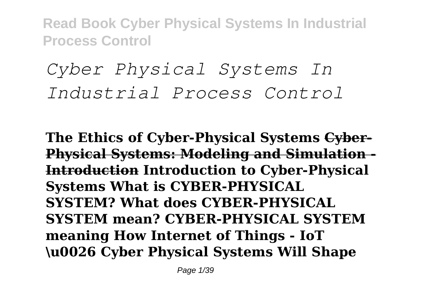# *Cyber Physical Systems In Industrial Process Control*

**The Ethics of Cyber-Physical Systems Cyber-Physical Systems: Modeling and Simulation - Introduction Introduction to Cyber-Physical Systems What is CYBER-PHYSICAL SYSTEM? What does CYBER-PHYSICAL SYSTEM mean? CYBER-PHYSICAL SYSTEM meaning How Internet of Things - IoT \u0026 Cyber Physical Systems Will Shape**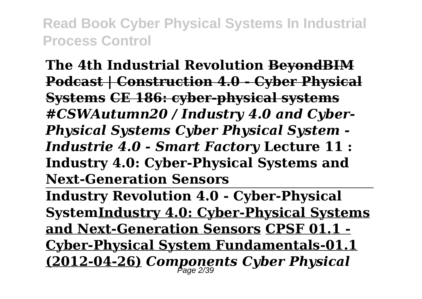**The 4th Industrial Revolution BeyondBIM Podcast | Construction 4.0 - Cyber Physical Systems CE 186: cyber-physical systems** *#CSWAutumn20 / Industry 4.0 and Cyber-Physical Systems Cyber Physical System - Industrie 4.0 - Smart Factory* **Lecture 11 : Industry 4.0: Cyber-Physical Systems and Next-Generation Sensors** 

**Industry Revolution 4.0 - Cyber-Physical SystemIndustry 4.0: Cyber-Physical Systems and Next-Generation Sensors CPSF 01.1 - Cyber-Physical System Fundamentals-01.1 (2012-04-26)** *Components Cyber Physical* Page 2/39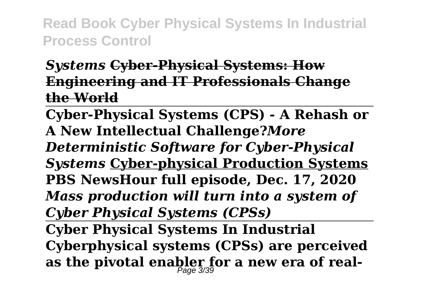#### *Systems* **Cyber-Physical Systems: How Engineering and IT Professionals Change the World**

**Cyber-Physical Systems (CPS) - A Rehash or A New Intellectual Challenge?***More Deterministic Software for Cyber-Physical Systems* **Cyber-physical Production Systems PBS NewsHour full episode, Dec. 17, 2020**  *Mass production will turn into a system of Cyber Physical Systems (CPSs)* **Cyber Physical Systems In Industrial Cyberphysical systems (CPSs) are perceived**

**as the pivotal enabler for a new era of real-**Page 3/39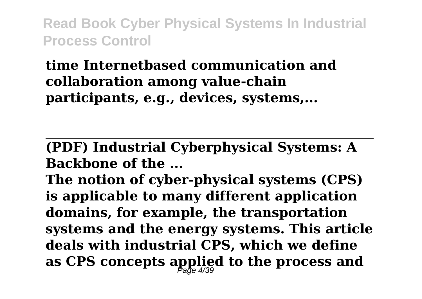## **time Internetbased communication and collaboration among value-chain participants, e.g., devices, systems,...**

**(PDF) Industrial Cyberphysical Systems: A Backbone of the ...**

**The notion of cyber-physical systems (CPS) is applicable to many different application domains, for example, the transportation systems and the energy systems. This article deals with industrial CPS, which we define as CPS concepts applied to the process and** Page 4/39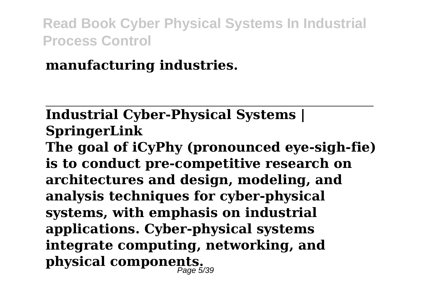**manufacturing industries.**

# **Industrial Cyber-Physical Systems | SpringerLink**

**The goal of iCyPhy (pronounced eye-sigh-fie) is to conduct pre-competitive research on architectures and design, modeling, and analysis techniques for cyber-physical systems, with emphasis on industrial applications. Cyber-physical systems integrate computing, networking, and physical components.** Page 5/39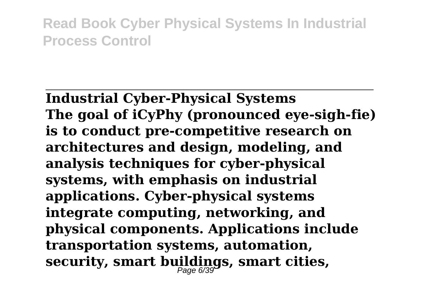**Industrial Cyber-Physical Systems The goal of iCyPhy (pronounced eye-sigh-fie) is to conduct pre-competitive research on architectures and design, modeling, and analysis techniques for cyber-physical systems, with emphasis on industrial applications. Cyber-physical systems integrate computing, networking, and physical components. Applications include transportation systems, automation, security, smart buildings, smart cities,** Page 6/39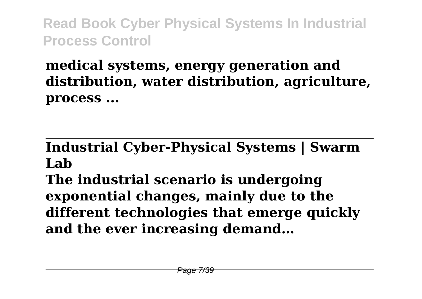# **medical systems, energy generation and distribution, water distribution, agriculture, process ...**

#### **Industrial Cyber-Physical Systems | Swarm Lab**

**The industrial scenario is undergoing exponential changes, mainly due to the different technologies that emerge quickly and the ever increasing demand…**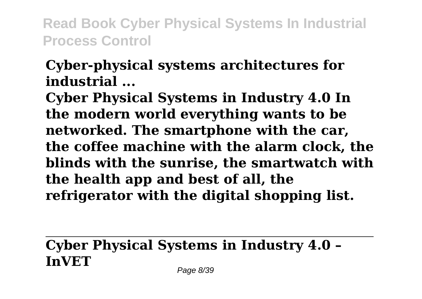## **Cyber-physical systems architectures for industrial ...**

**Cyber Physical Systems in Industry 4.0 In the modern world everything wants to be networked. The smartphone with the car, the coffee machine with the alarm clock, the blinds with the sunrise, the smartwatch with the health app and best of all, the refrigerator with the digital shopping list.**

# **Cyber Physical Systems in Industry 4.0 – InVET**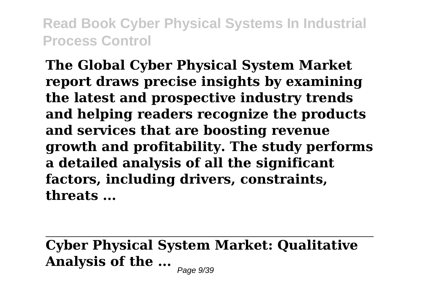**The Global Cyber Physical System Market report draws precise insights by examining the latest and prospective industry trends and helping readers recognize the products and services that are boosting revenue growth and profitability. The study performs a detailed analysis of all the significant factors, including drivers, constraints, threats ...**

**Cyber Physical System Market: Qualitative Analysis of the ...** Page 9/39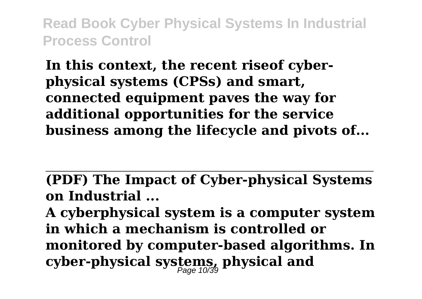**In this context, the recent riseof cyberphysical systems (CPSs) and smart, connected equipment paves the way for additional opportunities for the service business among the lifecycle and pivots of...**

**(PDF) The Impact of Cyber-physical Systems on Industrial ...**

**A cyberphysical system is a computer system in which a mechanism is controlled or monitored by computer-based algorithms. In cyber-physical systems, physical and** Page 10/39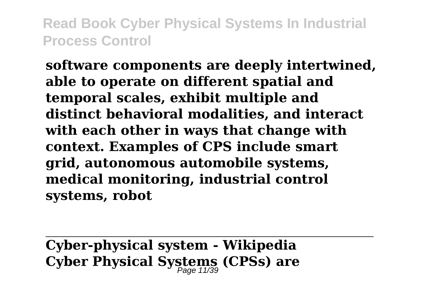**software components are deeply intertwined, able to operate on different spatial and temporal scales, exhibit multiple and distinct behavioral modalities, and interact with each other in ways that change with context. Examples of CPS include smart grid, autonomous automobile systems, medical monitoring, industrial control systems, robot**

**Cyber-physical system - Wikipedia Cyber Physical Systems (CPSs) are** Page 11/39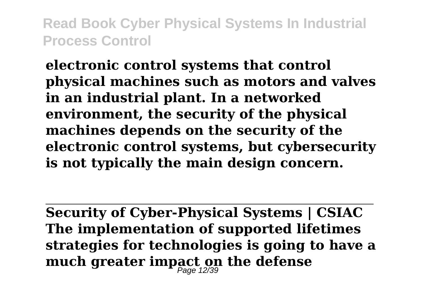**electronic control systems that control physical machines such as motors and valves in an industrial plant. In a networked environment, the security of the physical machines depends on the security of the electronic control systems, but cybersecurity is not typically the main design concern.**

**Security of Cyber-Physical Systems | CSIAC The implementation of supported lifetimes strategies for technologies is going to have a much greater impact on the defense** Page 12/39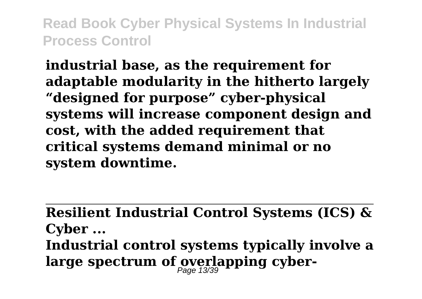**industrial base, as the requirement for adaptable modularity in the hitherto largely "designed for purpose" cyber-physical systems will increase component design and cost, with the added requirement that critical systems demand minimal or no system downtime.**

**Resilient Industrial Control Systems (ICS) & Cyber ... Industrial control systems typically involve a** large spectrum of overlapping cyber-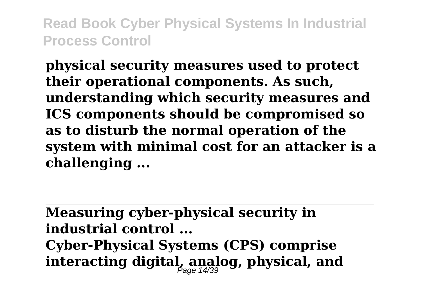**physical security measures used to protect their operational components. As such, understanding which security measures and ICS components should be compromised so as to disturb the normal operation of the system with minimal cost for an attacker is a challenging ...**

**Measuring cyber-physical security in industrial control ... Cyber-Physical Systems (CPS) comprise interacting digital, analog, physical, and** Page 14/39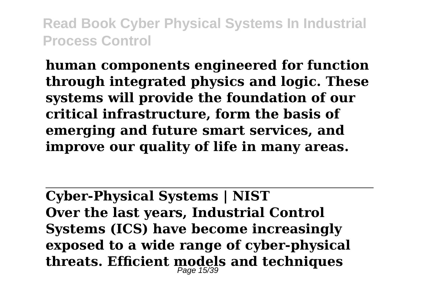**human components engineered for function through integrated physics and logic. These systems will provide the foundation of our critical infrastructure, form the basis of emerging and future smart services, and improve our quality of life in many areas.**

**Cyber-Physical Systems | NIST Over the last years, Industrial Control Systems (ICS) have become increasingly exposed to a wide range of cyber-physical threats. Efficient models and techniques** Page 15/39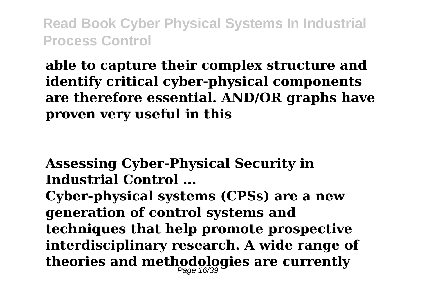**able to capture their complex structure and identify critical cyber-physical components are therefore essential. AND/OR graphs have proven very useful in this**

**Assessing Cyber-Physical Security in Industrial Control ...**

**Cyber-physical systems (CPSs) are a new generation of control systems and techniques that help promote prospective interdisciplinary research. A wide range of theories and methodologies are currently** Page 16/39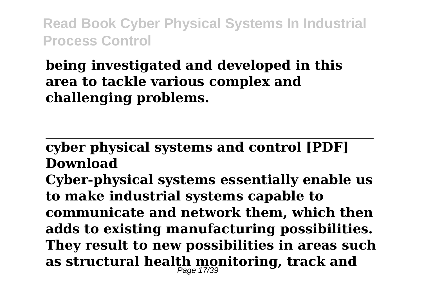## **being investigated and developed in this area to tackle various complex and challenging problems.**

#### **cyber physical systems and control [PDF] Download**

**Cyber-physical systems essentially enable us to make industrial systems capable to communicate and network them, which then adds to existing manufacturing possibilities. They result to new possibilities in areas such as structural health monitoring, track and** Page 17/39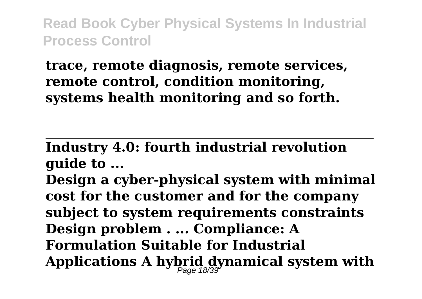#### **trace, remote diagnosis, remote services, remote control, condition monitoring, systems health monitoring and so forth.**

**Industry 4.0: fourth industrial revolution guide to ...**

**Design a cyber-physical system with minimal cost for the customer and for the company subject to system requirements constraints Design problem . ... Compliance: A Formulation Suitable for Industrial Applications A hybrid dynamical system with** Page 18/39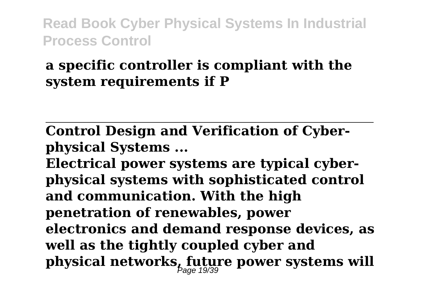#### **a specific controller is compliant with the system requirements if P**

**Control Design and Verification of Cyberphysical Systems ...**

**Electrical power systems are typical cyberphysical systems with sophisticated control and communication. With the high penetration of renewables, power electronics and demand response devices, as well as the tightly coupled cyber and physical networks, future power systems will** Page 19/39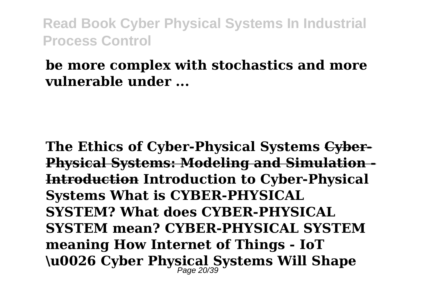#### **be more complex with stochastics and more vulnerable under ...**

**The Ethics of Cyber-Physical Systems Cyber-Physical Systems: Modeling and Simulation - Introduction Introduction to Cyber-Physical Systems What is CYBER-PHYSICAL SYSTEM? What does CYBER-PHYSICAL SYSTEM mean? CYBER-PHYSICAL SYSTEM meaning How Internet of Things - IoT \u0026 Cyber Physical Systems Will Shape** Page 20/39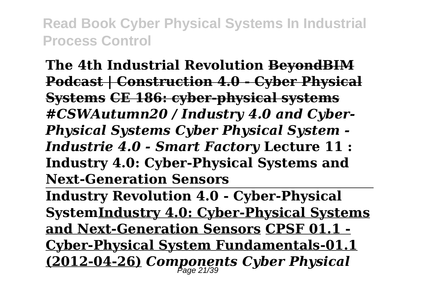**The 4th Industrial Revolution BeyondBIM Podcast | Construction 4.0 - Cyber Physical Systems CE 186: cyber-physical systems** *#CSWAutumn20 / Industry 4.0 and Cyber-Physical Systems Cyber Physical System - Industrie 4.0 - Smart Factory* **Lecture 11 : Industry 4.0: Cyber-Physical Systems and Next-Generation Sensors** 

**Industry Revolution 4.0 - Cyber-Physical SystemIndustry 4.0: Cyber-Physical Systems and Next-Generation Sensors CPSF 01.1 - Cyber-Physical System Fundamentals-01.1 (2012-04-26)** *Components Cyber Physical* Page 21/39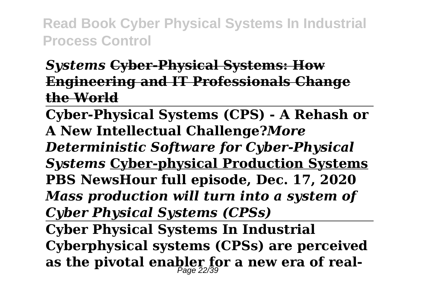#### *Systems* **Cyber-Physical Systems: How Engineering and IT Professionals Change the World**

**Cyber-Physical Systems (CPS) - A Rehash or A New Intellectual Challenge?***More Deterministic Software for Cyber-Physical Systems* **Cyber-physical Production Systems PBS NewsHour full episode, Dec. 17, 2020**  *Mass production will turn into a system of Cyber Physical Systems (CPSs)* **Cyber Physical Systems In Industrial Cyberphysical systems (CPSs) are perceived**

**as the pivotal enabler for a new era of real-**Page 22/39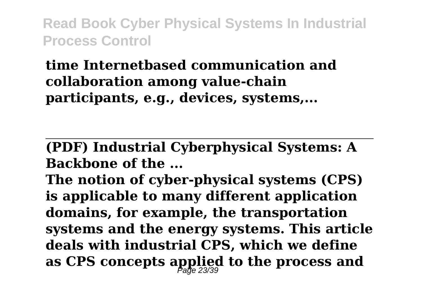## **time Internetbased communication and collaboration among value-chain participants, e.g., devices, systems,...**

**(PDF) Industrial Cyberphysical Systems: A Backbone of the ...**

**The notion of cyber-physical systems (CPS) is applicable to many different application domains, for example, the transportation systems and the energy systems. This article deals with industrial CPS, which we define as CPS concepts applied to the process and** Page 23/39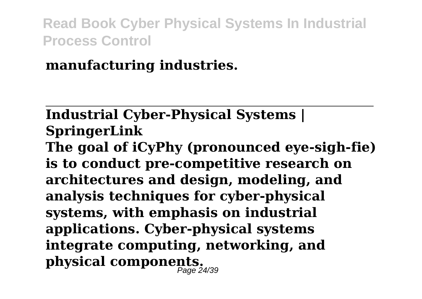**manufacturing industries.**

# **Industrial Cyber-Physical Systems | SpringerLink**

**The goal of iCyPhy (pronounced eye-sigh-fie) is to conduct pre-competitive research on architectures and design, modeling, and analysis techniques for cyber-physical systems, with emphasis on industrial applications. Cyber-physical systems integrate computing, networking, and physical components.** Page 24/39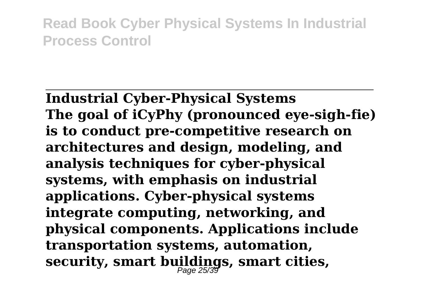**Industrial Cyber-Physical Systems The goal of iCyPhy (pronounced eye-sigh-fie) is to conduct pre-competitive research on architectures and design, modeling, and analysis techniques for cyber-physical systems, with emphasis on industrial applications. Cyber-physical systems integrate computing, networking, and physical components. Applications include transportation systems, automation, security, smart buildings, smart cities,** Page 25/39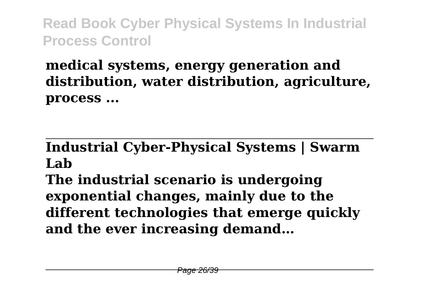# **medical systems, energy generation and distribution, water distribution, agriculture, process ...**

#### **Industrial Cyber-Physical Systems | Swarm Lab**

**The industrial scenario is undergoing exponential changes, mainly due to the different technologies that emerge quickly and the ever increasing demand…**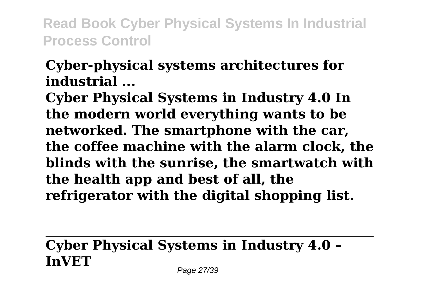#### **Cyber-physical systems architectures for industrial ...**

**Cyber Physical Systems in Industry 4.0 In the modern world everything wants to be networked. The smartphone with the car, the coffee machine with the alarm clock, the blinds with the sunrise, the smartwatch with the health app and best of all, the refrigerator with the digital shopping list.**

## **Cyber Physical Systems in Industry 4.0 – InVET**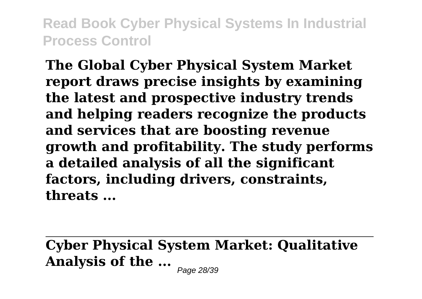**The Global Cyber Physical System Market report draws precise insights by examining the latest and prospective industry trends and helping readers recognize the products and services that are boosting revenue growth and profitability. The study performs a detailed analysis of all the significant factors, including drivers, constraints, threats ...**

**Cyber Physical System Market: Qualitative Analysis of the ...** Page 28/39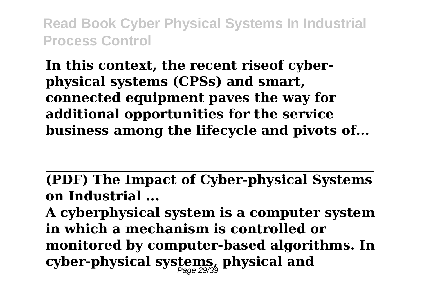**In this context, the recent riseof cyberphysical systems (CPSs) and smart, connected equipment paves the way for additional opportunities for the service business among the lifecycle and pivots of...**

**(PDF) The Impact of Cyber-physical Systems on Industrial ...**

**A cyberphysical system is a computer system in which a mechanism is controlled or monitored by computer-based algorithms. In cyber-physical systems, physical and** Page 29/39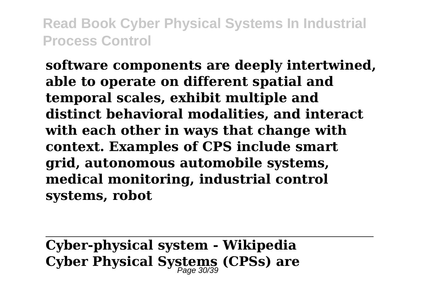**software components are deeply intertwined, able to operate on different spatial and temporal scales, exhibit multiple and distinct behavioral modalities, and interact with each other in ways that change with context. Examples of CPS include smart grid, autonomous automobile systems, medical monitoring, industrial control systems, robot**

**Cyber-physical system - Wikipedia Cyber Physical Systems (CPSs) are** Page 30/39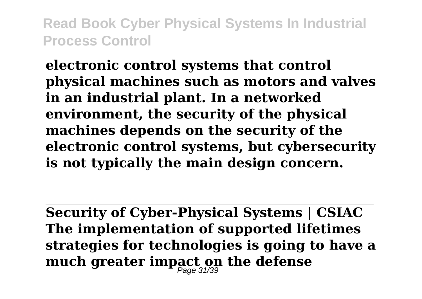**electronic control systems that control physical machines such as motors and valves in an industrial plant. In a networked environment, the security of the physical machines depends on the security of the electronic control systems, but cybersecurity is not typically the main design concern.**

**Security of Cyber-Physical Systems | CSIAC The implementation of supported lifetimes strategies for technologies is going to have a much greater impact on the defense** Page 31/39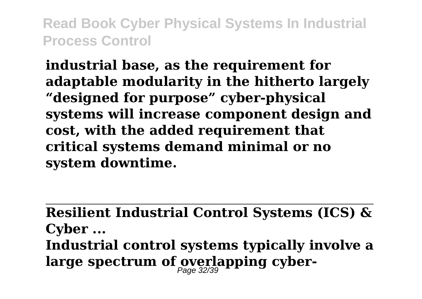**industrial base, as the requirement for adaptable modularity in the hitherto largely "designed for purpose" cyber-physical systems will increase component design and cost, with the added requirement that critical systems demand minimal or no system downtime.**

**Resilient Industrial Control Systems (ICS) & Cyber ... Industrial control systems typically involve a** large spectrum of overlapping cyber-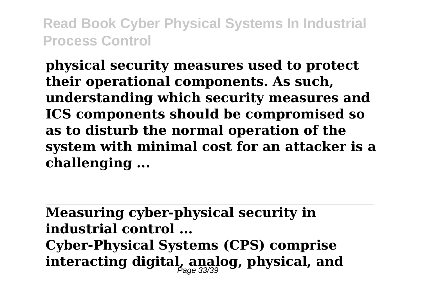**physical security measures used to protect their operational components. As such, understanding which security measures and ICS components should be compromised so as to disturb the normal operation of the system with minimal cost for an attacker is a challenging ...**

**Measuring cyber-physical security in industrial control ... Cyber-Physical Systems (CPS) comprise interacting digital, analog, physical, and** Page 33/39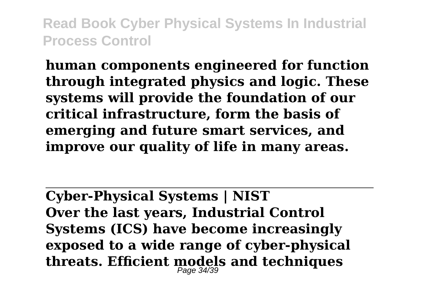**human components engineered for function through integrated physics and logic. These systems will provide the foundation of our critical infrastructure, form the basis of emerging and future smart services, and improve our quality of life in many areas.**

**Cyber-Physical Systems | NIST Over the last years, Industrial Control Systems (ICS) have become increasingly exposed to a wide range of cyber-physical threats. Efficient models and techniques** Page 34/39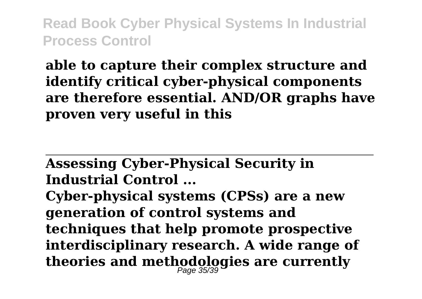**able to capture their complex structure and identify critical cyber-physical components are therefore essential. AND/OR graphs have proven very useful in this**

**Assessing Cyber-Physical Security in Industrial Control ...**

**Cyber-physical systems (CPSs) are a new generation of control systems and techniques that help promote prospective interdisciplinary research. A wide range of theories and methodologies are currently** Page 35/39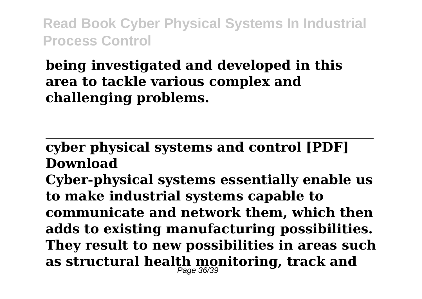## **being investigated and developed in this area to tackle various complex and challenging problems.**

#### **cyber physical systems and control [PDF] Download**

**Cyber-physical systems essentially enable us to make industrial systems capable to communicate and network them, which then adds to existing manufacturing possibilities. They result to new possibilities in areas such as structural health monitoring, track and** Page 36/39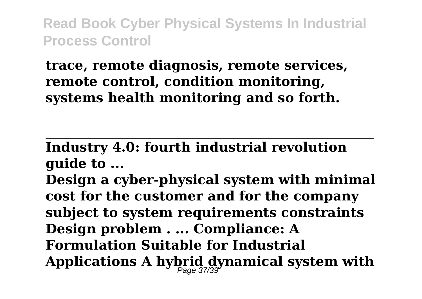#### **trace, remote diagnosis, remote services, remote control, condition monitoring, systems health monitoring and so forth.**

**Industry 4.0: fourth industrial revolution guide to ...**

**Design a cyber-physical system with minimal cost for the customer and for the company subject to system requirements constraints Design problem . ... Compliance: A Formulation Suitable for Industrial Applications A hybrid dynamical system with** Page 37/39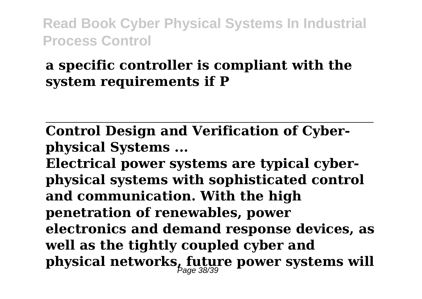#### **a specific controller is compliant with the system requirements if P**

**Control Design and Verification of Cyberphysical Systems ...**

**Electrical power systems are typical cyberphysical systems with sophisticated control and communication. With the high penetration of renewables, power electronics and demand response devices, as well as the tightly coupled cyber and physical networks, future power systems will** Page 38/39